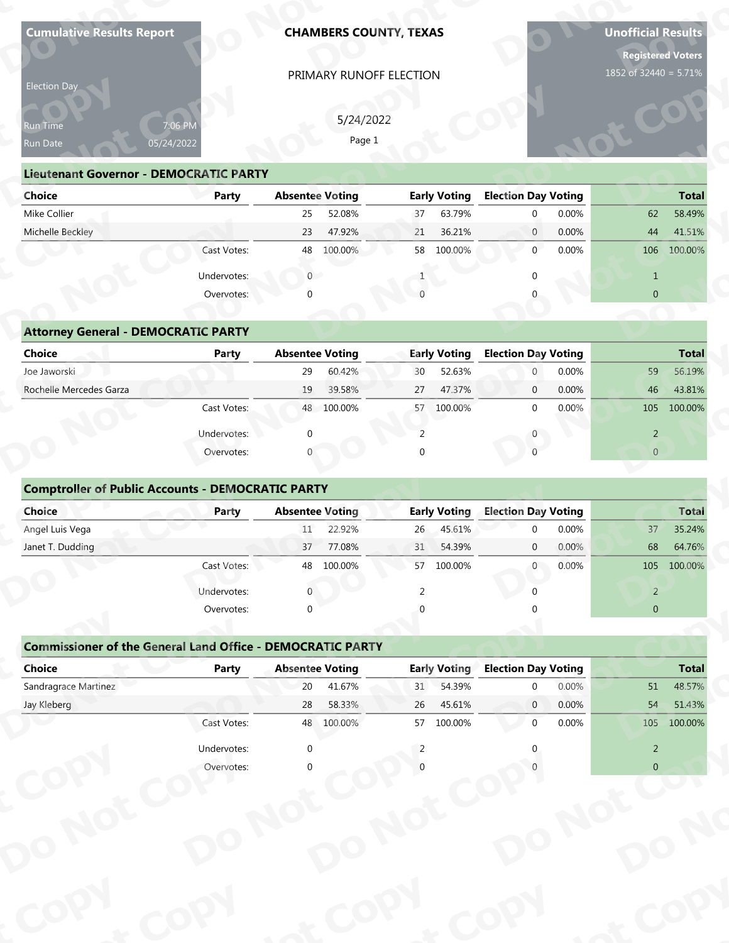| Election Day<br>Run Time<br>Run Date                               | 7:06 PM      |                              | PRIMARY RUNOFF ELECTION |                |                               |                                           |       |                       |                                             |
|--------------------------------------------------------------------|--------------|------------------------------|-------------------------|----------------|-------------------------------|-------------------------------------------|-------|-----------------------|---------------------------------------------|
|                                                                    |              |                              |                         |                |                               |                                           |       | 1852 of 32440 = 5.71% |                                             |
|                                                                    |              |                              |                         |                |                               |                                           |       |                       |                                             |
|                                                                    |              |                              | 5/24/2022               |                |                               |                                           |       |                       |                                             |
|                                                                    | 05/24/2022   |                              | Page 1                  |                |                               |                                           |       |                       |                                             |
| <b>Lieutenant Governor - DEMOCRATIC PARTY</b>                      |              |                              |                         |                |                               |                                           |       |                       |                                             |
| <b>Choice</b>                                                      | Party        | <b>Absentee Voting</b>       |                         |                | <b>Early Voting</b>           | <b>Election Day Voting</b>                |       |                       | <b>Total</b>                                |
| Mike Collier                                                       |              | 25                           | 52.08%                  | 37             | 63.79%                        | $\mathbf{0}$                              | 0.00% | 62                    | 58.49%                                      |
| Michelle Beckley                                                   |              | 23                           | 47.92%                  | 21             | 36.21%                        | $\overline{0}$                            | 0.00% | 44                    | 41.51%                                      |
|                                                                    | Cast Votes:  |                              | 48 100.00%              |                | 58 100.00%                    | $\mathbf{0}$                              | 0.00% |                       | 106 100.00%                                 |
|                                                                    | Undervotes:  | $\overline{0}$               |                         |                |                               | <sup>0</sup>                              |       | $\mathbf{1}$          |                                             |
|                                                                    | Overvotes:   |                              |                         |                |                               |                                           |       | $\overline{0}$        |                                             |
|                                                                    |              |                              |                         |                |                               |                                           |       |                       |                                             |
| <b>Attorney General - DEMOCRATIC PARTY</b><br><b>Choice</b>        |              | <b>Absentee Voting</b>       |                         |                | <b>Early Voting</b>           | <b>Election Day Voting</b>                |       |                       | <b>Total</b>                                |
| Joe Jaworski                                                       | <b>Party</b> | 29                           | 60.42%                  | 30             | 52.63%                        | $\mathbf{0}$                              | 0.00% | 59                    | 56.19%                                      |
| Rochelle Mercedes Garza                                            |              | 19                           | 39.58%                  | 27             | 47.37%                        | $\mathbf{0}$                              | 0.00% | 46                    | 43.81%                                      |
|                                                                    | Cast Votes:  |                              | 48 100.00%              | 57             | 100.00%                       | $\mathbf{0}$                              | 0.00% | 105                   | 100.00%                                     |
|                                                                    | Undervotes:  |                              |                         | 2              |                               | $\mathbf{0}$                              |       | $\overline{2}$        |                                             |
|                                                                    | Overvotes:   |                              |                         | $\Omega$       |                               | $\Omega$                                  |       | $\overline{0}$        |                                             |
| <b>Comptroller of Public Accounts - DEMOCRATIC PARTY</b><br>Choice |              |                              |                         |                |                               |                                           |       |                       |                                             |
|                                                                    | Party        |                              | <b>Absentee Voting</b>  |                | <b>Early Voting</b>           | <b>Election Day Voting</b>                |       |                       |                                             |
| Angel Luis Vega                                                    |              | 11                           | 22.92%                  | 26             | 45.61%                        | $\Omega$                                  | 0.00% | 37                    |                                             |
| Janet T. Dudding                                                   |              | 37                           | 77.08%                  | 31             | 54.39%                        | $\mathbf 0$                               | 0.00% | 68                    | <b>Total</b><br>35.24%<br>64.76%            |
|                                                                    | Cast Votes:  |                              | 48 100.00%              | 57             | 100.00%                       | $\overline{0}$                            | 0.00% | 105                   | 100.00%                                     |
|                                                                    | Undervotes:  |                              |                         | 2              |                               | $\cap$                                    |       | $\overline{2}$        |                                             |
|                                                                    | Overvotes:   | $\Omega$                     |                         |                |                               |                                           |       | $\overline{0}$        |                                             |
|                                                                    |              |                              |                         |                |                               |                                           |       |                       |                                             |
| <b>Commissioner of the General Land Office - DEMOCRATIC PARTY</b>  |              |                              |                         |                |                               |                                           |       |                       |                                             |
| <b>Choice</b><br>Sandragrace Martinez                              | Party        | <b>Absentee Voting</b><br>20 | 41.67%                  | 31             | <b>Early Voting</b><br>54.39% | <b>Election Day Voting</b><br>$\mathbf 0$ | 0.00% | 51                    |                                             |
| Jay Kleberg                                                        |              | 28                           | 58.33%                  | 26             | 45.61%                        | $\overline{0}$                            | 0.00% | 54                    |                                             |
|                                                                    | Cast Votes:  |                              | 48 100.00%              | 57             | 100.00%                       | $\mathbf 0$                               | 0.00% | 105                   |                                             |
|                                                                    | Undervotes:  | $\mathbf 0$                  |                         | $\overline{2}$ |                               |                                           |       | $\overline{2}$        | <b>Total</b><br>48.57%<br>51.43%<br>100.00% |

| <b>Lieutenant Governor - DEMOCRATIC PARTY</b> |              |                |                        |    |                     |                            |              |       |                |              |
|-----------------------------------------------|--------------|----------------|------------------------|----|---------------------|----------------------------|--------------|-------|----------------|--------------|
| <b>Choice</b>                                 | Party        |                | <b>Absentee Voting</b> |    | <b>Early Voting</b> | <b>Election Day Voting</b> |              |       |                | <b>Total</b> |
| Mike Collier                                  |              | 25             | 52.08%                 | 37 | 63.79%              |                            | $\mathbf 0$  | 0.00% | 62             | 58.49%       |
| Michelle Beckley                              |              | 23             | 47.92%                 | 21 | 36.21%              |                            | $\mathbf{0}$ | 0.00% | 44             | 41.51%       |
|                                               | Cast Votes:  | 48             | 100.00%                | 58 | 100.00%             |                            | $\mathbf{0}$ | 0.00% | 106            | 100.00%      |
|                                               | Undervotes:  | $\overline{0}$ |                        |    |                     |                            | 0            |       |                |              |
|                                               | Overvotes:   | 0              |                        |    |                     |                            |              |       | $\overline{0}$ |              |
| <b>Attorney General - DEMOCRATIC PARTY</b>    |              |                |                        |    |                     |                            |              |       |                |              |
| <b>Choice</b>                                 | <b>Party</b> |                | <b>Absentee Voting</b> |    | <b>Early Voting</b> | <b>Election Day Voting</b> |              |       |                | <b>Total</b> |
| Joe Jaworski                                  |              | 29             | 60.42%                 | 30 | 52.63%              |                            | $\mathbf{0}$ | 0.00% | 59             | 56.19%       |
| Rochelle Mercedes Garza                       |              | 19             | 39.58%                 | 27 | 47.37%              |                            | $\mathbf{0}$ | 0.00% | 46             | 43.81%       |
|                                               | Cast Votes:  | 48             | 100.00%                | 57 | 100.00%             |                            | $\mathbf 0$  | 0.00% | 105            | 100.00%      |

| <b>Attorney General - DEMOCRATIC PARTY</b> |  |
|--------------------------------------------|--|

| Run Time<br>Run Date                                     | 7:06 PM<br>05/24/2022 | 5/24/2022<br>Page 1    |                     |                            |                |
|----------------------------------------------------------|-----------------------|------------------------|---------------------|----------------------------|----------------|
| <b>Lieutenant Governor - DEMOCRATIC PARTY</b>            |                       |                        |                     |                            |                |
| <b>Choice</b>                                            | Party                 | <b>Absentee Voting</b> | <b>Early Voting</b> | <b>Election Day Voting</b> | <b>Total</b>   |
| Mike Collier                                             |                       | 25<br>52.08%           | 63.79%<br>37        | 0.00%<br>$\Omega$          | 58.49%<br>62   |
| Michelle Beckley                                         |                       | 47.92%<br>23           | 36.21%<br>21        | 0.00%<br>$\mathbf{0}$      | 41.51%<br>44   |
|                                                          | Cast Votes:           | 100.00%<br>48          | 58<br>100.00%       | 0.00%<br>$\Omega$          | 106<br>100.00% |
|                                                          | Undervotes:           | $\overline{0}$         |                     |                            | $\mathbf{1}$   |
|                                                          | Overvotes:            | $\Omega$               |                     |                            | $\overline{0}$ |
|                                                          |                       |                        |                     |                            |                |
| <b>Attorney General - DEMOCRATIC PARTY</b>               |                       |                        |                     |                            |                |
| <b>Choice</b>                                            | Party                 | <b>Absentee Voting</b> | <b>Early Voting</b> | <b>Election Day Voting</b> | <b>Total</b>   |
| Joe Jaworski                                             |                       | 60.42%<br>29           | 52.63%<br>30        | 0.00%<br>$\mathbf{0}$      | 59<br>56.19%   |
| Rochelle Mercedes Garza                                  |                       | 19<br>39.58%           | 27<br>47.37%        | 0.00%<br>$\mathbf{0}$      | 46<br>43.81%   |
|                                                          | Cast Votes:           | 48 100.00%             | 100.00%<br>57       | $\mathbf{0}$<br>0.00%      | 100.00%<br>105 |
|                                                          | Undervotes:           | $\Omega$               | 2                   | $\mathbf{0}$               | $\overline{2}$ |
|                                                          | Overvotes:            |                        | $\cap$              |                            | $\overline{0}$ |
| <b>Comptroller of Public Accounts - DEMOCRATIC PARTY</b> |                       |                        |                     |                            |                |
| Choice                                                   | Party                 | <b>Absentee Voting</b> | <b>Early Voting</b> | <b>Election Day Voting</b> | <b>Total</b>   |
| Angel Luis Vega                                          |                       | 22.92%<br>11           | 45.61%<br>26        | 0.00%<br>$\Omega$          | 35.24%<br>37   |
| Janet T. Dudding                                         |                       | 77.08%<br>37           | 31<br>54.39%        | 0.00%<br>$\mathbf{0}$      | 68<br>64.76%   |
|                                                          | Cast Votes:           | 48 100.00%             | 100.00%<br>57       | 0.00%<br>$\overline{0}$    | 105<br>100.00% |
|                                                          |                       |                        |                     |                            |                |

| Run Time<br>Run Date                                              | 7:06 PN<br>05/24/2022 |                        | 5/24/2022<br>Page 1    |                |                     |                            |       |                |              |
|-------------------------------------------------------------------|-----------------------|------------------------|------------------------|----------------|---------------------|----------------------------|-------|----------------|--------------|
| <b>Lieutenant Governor - DEMOCRATIC PARTY</b>                     |                       |                        |                        |                |                     |                            |       |                |              |
| <b>Choice</b>                                                     | <b>Party</b>          | <b>Absentee Voting</b> |                        |                | <b>Early Voting</b> | <b>Election Day Voting</b> |       |                | <b>Total</b> |
| Mike Collier                                                      |                       | 25                     | 52.08%                 | 37             | 63.79%              | $\mathbf 0$                | 0.00% | 62             | 58.49%       |
| Michelle Beckley                                                  |                       | 23                     | 47.92%                 | 21             | 36.21%              | $\mathbf{0}$               | 0.00% | 44             | 41.51%       |
|                                                                   | Cast Votes:           | 48                     | 100.00%                |                | 58 100.00%          | $\mathbf{0}$               | 0.00% | 106            | 100.00%      |
|                                                                   | Undervotes:           | $\overline{0}$         |                        | 1              |                     | $\mathbf{0}$               |       | $\mathbf{1}$   |              |
|                                                                   | Overvotes:            | $\Omega$               |                        | $\Omega$       |                     | $\Omega$                   |       | $\mathbf{0}$   |              |
|                                                                   |                       |                        |                        |                |                     |                            |       |                |              |
| <b>Attorney General - DEMOCRATIC PARTY</b>                        |                       |                        |                        |                |                     |                            |       |                |              |
| <b>Choice</b>                                                     | Party                 | <b>Absentee Voting</b> |                        |                | <b>Early Voting</b> | <b>Election Day Voting</b> |       |                | <b>Total</b> |
| Joe Jaworski                                                      |                       | 29                     | 60.42%                 | 30             | 52.63%              | $\overline{0}$             | 0.00% | 59             | 56.19%       |
| Rochelle Mercedes Garza                                           |                       | 19                     | 39.58%                 | 27             | 47.37%              | $\mathbf{0}$               | 0.00% | 46             | 43.81%       |
|                                                                   | Cast Votes:           |                        | 48 100.00%             |                | 57 100.00%          | $\overline{0}$             | 0.00% | 105            | 100.00%      |
|                                                                   | Undervotes:           | $\mathbf 0$            |                        | $\overline{2}$ |                     | 0                          |       | $\overline{2}$ |              |
|                                                                   | Overvotes:            |                        |                        | $\Omega$       |                     | $\Omega$                   |       | $\overline{0}$ |              |
|                                                                   |                       |                        |                        |                |                     |                            |       |                |              |
| <b>Comptroller of Public Accounts - DEMOCRATIC PARTY</b>          |                       |                        |                        |                |                     |                            |       |                |              |
| Choice                                                            | Party                 | <b>Absentee Voting</b> |                        |                | <b>Early Voting</b> | <b>Election Day Voting</b> |       |                | <b>Total</b> |
| Angel Luis Vega                                                   |                       | 11                     | 22.92%                 | 26             | 45.61%              | $\mathbf 0$                | 0.00% | 37             | 35.24%       |
| Janet T. Dudding                                                  |                       | 37                     | 77.08%                 | 31             | 54.39%              | $\mathbf{0}$               | 0.00% | 68             | 64.76%       |
|                                                                   | Cast Votes:           | 48                     | 100.00%                | 57             | 100.00%             | $\overline{0}$             | 0.00% | 105            | 100.00%      |
|                                                                   | Undervotes:           | $\Omega$               |                        | $\mathfrak{D}$ |                     | $\Omega$                   |       | 2              |              |
|                                                                   | Overvotes:            | $\Omega$               |                        |                |                     |                            |       | $\pmb{0}$      |              |
|                                                                   |                       |                        |                        |                |                     |                            |       |                |              |
| <b>Commissioner of the General Land Office - DEMOCRATIC PARTY</b> |                       |                        |                        |                |                     |                            |       |                |              |
| <b>Choice</b>                                                     | Party                 |                        | <b>Absentee Voting</b> |                | <b>Early Voting</b> | <b>Election Day Voting</b> |       |                | <b>Total</b> |
| Sandragrace Martinez                                              |                       | 20                     | 41.67%                 | 31             | 54.39%              | 0                          | 0.00% | 51             | 48.57%       |
| $\mathsf{L}$                                                      |                       | $70^{\circ}$           | $EQ$ 220/              | 2C             | A E C 10            | $\Omega$                   | 0.000 | E A            | E1 430/      |

| Run Time<br>Run Date                                              | 7:06 PM<br>05/24/2022 |                        | 5/24/2022<br>Page 1 |          |                     |                            |          |                |              |
|-------------------------------------------------------------------|-----------------------|------------------------|---------------------|----------|---------------------|----------------------------|----------|----------------|--------------|
| <b>Lieutenant Governor - DEMOCRATIC PARTY</b>                     |                       |                        |                     |          |                     |                            |          |                |              |
| <b>Choice</b>                                                     | <b>Party</b>          | <b>Absentee Voting</b> |                     |          | <b>Early Voting</b> | <b>Election Day Voting</b> |          |                | <b>Total</b> |
| Mike Collier                                                      |                       | 25                     | 52.08%              | 37       | 63.79%              | $\mathbf{0}$               | 0.00%    | 62             | 58.49%       |
| Michelle Beckley                                                  |                       | 23                     | 47.92%              | 21       | 36.21%              | $\mathbf{0}$               | 0.00%    | 44             | 41.51%       |
|                                                                   | Cast Votes:           | 48                     | 100.00%             |          | 58 100.00%          | $\mathbf 0$                | 0.00%    | 106            | 100.00%      |
|                                                                   | Undervotes:           | $\overline{0}$         |                     |          |                     |                            |          | $\mathbf{1}$   |              |
|                                                                   | Overvotes:            | $\Omega$               |                     |          |                     | $\Omega$                   |          | $\overline{0}$ |              |
|                                                                   |                       |                        |                     |          |                     |                            |          |                |              |
| <b>Attorney General - DEMOCRATIC PARTY</b>                        |                       |                        |                     |          |                     |                            |          |                |              |
| <b>Choice</b>                                                     | <b>Party</b>          | <b>Absentee Voting</b> |                     |          | <b>Early Voting</b> | <b>Election Day Voting</b> |          |                | <b>Total</b> |
| Joe Jaworski                                                      |                       | 29                     | 60.42%              | 30       | 52.63%              | $\mathbf{0}$               | 0.00%    | 59             | 56.19%       |
| Rochelle Mercedes Garza                                           |                       | 19                     | 39.58%              | 27       | 47.37%              | $\mathbf 0$                | 0.00%    | 46             | 43.81%       |
|                                                                   | Cast Votes:           |                        | 48 100.00%          | 57       | 100.00%             | $\mathbf 0$                | 0.00%    | 105            | 100.00%      |
|                                                                   | Undervotes:           |                        |                     | 2        |                     | $\mathbf 0$                |          | $\overline{2}$ |              |
|                                                                   | Overvotes:            |                        |                     | $\Omega$ |                     |                            |          | $\overline{0}$ |              |
|                                                                   |                       |                        |                     |          |                     |                            |          |                |              |
| <b>Comptroller of Public Accounts - DEMOCRATIC PARTY</b>          |                       |                        |                     |          |                     |                            |          |                |              |
| Choice                                                            | Party                 | <b>Absentee Voting</b> |                     |          | <b>Early Voting</b> | <b>Election Day Voting</b> |          |                | <b>Total</b> |
| Angel Luis Vega                                                   |                       | 11                     | 22.92%              | 26       | 45.61%              | $\mathbf{0}$               | 0.00%    | 37             | 35.24%       |
| Janet T. Dudding                                                  |                       | 37                     | 77.08%              | 31       | 54.39%              | $\mathbf 0$                | 0.00%    | 68             | 64.76%       |
|                                                                   | Cast Votes:           |                        | 48 100.00%          |          | 57 100.00%          | $\overline{0}$             | 0.00%    |                | 105 100.00%  |
|                                                                   | Undervotes:           | $\overline{0}$         |                     | 2        |                     |                            |          | 2              |              |
|                                                                   | Overvotes:            | $\Omega$               |                     | $\Omega$ |                     |                            |          | $\overline{0}$ |              |
|                                                                   |                       |                        |                     |          |                     |                            |          |                |              |
| <b>Commissioner of the General Land Office - DEMOCRATIC PARTY</b> |                       |                        |                     |          |                     |                            |          |                |              |
| <b>Choice</b>                                                     | Party                 | <b>Absentee Voting</b> |                     |          | <b>Early Voting</b> | <b>Election Day Voting</b> |          |                | <b>Total</b> |
| Sandragrace Martinez                                              |                       | 20                     | 41.67%              | 31       | 54.39%              | <sup>0</sup>               | $0.00\%$ | 51             | 48.57%       |
| Jay Kleberg                                                       |                       | 28                     | 58.33%              | 26       | 45.61%              | $\overline{0}$             | 0.00%    | 54             | 51.43%       |
|                                                                   | Cast Votes:           |                        | 48 100.00%          |          | 57 100.00%          | $\Omega$                   | 0.00%    |                | 105 100.00%  |
|                                                                   | Undervotes:           | $\mathbf{0}$           |                     | 2        |                     |                            |          | $\overline{2}$ |              |
|                                                                   | Overvotes:            |                        |                     |          |                     |                            |          | $\overline{0}$ |              |
|                                                                   |                       |                        |                     |          |                     |                            |          |                |              |
|                                                                   |                       |                        |                     |          |                     |                            |          |                |              |
|                                                                   |                       |                        |                     |          |                     |                            |          |                |              |
|                                                                   |                       |                        |                     |          |                     |                            |          |                |              |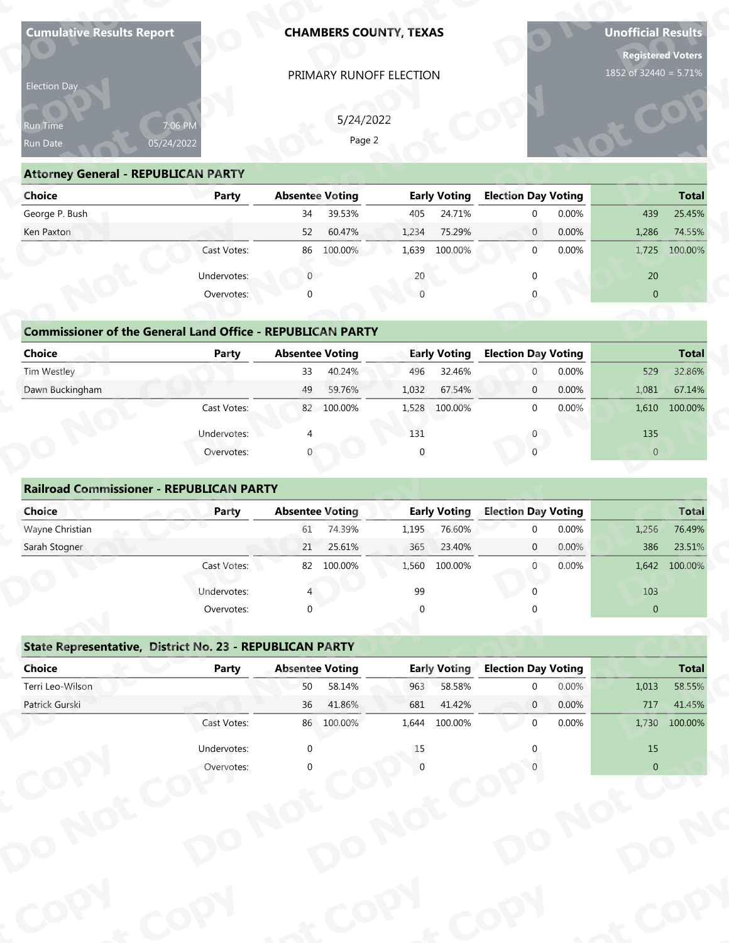| Election Day<br>Run Time<br>Run Date                              | 7:06 PM                   |                        | PRIMARY RUNOFF ELECTION          |          |                               |                            |       | <b>Registered Voters</b> |                                             |
|-------------------------------------------------------------------|---------------------------|------------------------|----------------------------------|----------|-------------------------------|----------------------------|-------|--------------------------|---------------------------------------------|
|                                                                   |                           |                        |                                  |          |                               |                            |       | 1852 of 32440 = 5.71%    |                                             |
|                                                                   |                           |                        |                                  |          |                               |                            |       |                          |                                             |
|                                                                   |                           |                        | 5/24/2022                        |          |                               |                            |       |                          |                                             |
|                                                                   | 05/24/2022                |                        | Page 2                           |          |                               |                            |       |                          |                                             |
|                                                                   |                           |                        |                                  |          |                               |                            |       |                          |                                             |
| <b>Attorney General - REPUBLICAN PARTY</b><br><b>Choice</b>       |                           |                        |                                  |          |                               | <b>Election Day Voting</b> |       |                          | <b>Total</b>                                |
| George P. Bush                                                    | <b>Party</b>              | 34                     | <b>Absentee Voting</b><br>39.53% | 405      | <b>Early Voting</b><br>24.71% | $\mathbf{0}$               | 0.00% | 439                      | 25.45%                                      |
| Ken Paxton                                                        |                           | 52                     | 60.47%                           | 1,234    | 75.29%                        | $\mathbf{0}$               | 0.00% | 1,286                    | 74.55%                                      |
|                                                                   | Cast Votes:               |                        | 86 100.00%                       | 1,639    | 100.00%                       | $\mathbf{0}$               | 0.00% | 1,725                    | 100.00%                                     |
|                                                                   | Undervotes:               | $\overline{0}$         |                                  | 20       |                               | <sup>0</sup>               |       | 20                       |                                             |
|                                                                   | Overvotes:                |                        |                                  |          |                               |                            |       | $\overline{0}$           |                                             |
|                                                                   |                           |                        |                                  |          |                               |                            |       |                          |                                             |
| <b>Commissioner of the General Land Office - REPUBLICAN PARTY</b> |                           |                        |                                  |          |                               |                            |       |                          |                                             |
| <b>Choice</b>                                                     | <b>Party</b>              | <b>Absentee Voting</b> |                                  |          | <b>Early Voting</b>           | <b>Election Day Voting</b> |       |                          | <b>Total</b>                                |
| Tim Westley                                                       |                           | 33                     | 40.24%                           | 496      | 32.46%                        | $\mathbf{0}$               | 0.00% | 529                      | 32.86%                                      |
| Dawn Buckingham                                                   |                           | 49                     | 59.76%                           | 1,032    | 67.54%                        | $\mathbf{0}$               | 0.00% | 1,081                    | 67.14%                                      |
|                                                                   | Cast Votes:               |                        | 82 100.00%                       | 1,528    | 100.00%                       | $\mathbf{0}$               | 0.00% | 1,610                    | 100.00%                                     |
|                                                                   | Undervotes:               |                        |                                  | 131      |                               | $\mathbf{0}$               |       | 135                      |                                             |
|                                                                   | Overvotes:                |                        |                                  | $\Omega$ |                               | $\Omega$                   |       | $\overline{0}$           |                                             |
| <b>Railroad Commissioner - REPUBLICAN PARTY</b>                   |                           |                        |                                  |          |                               |                            |       |                          |                                             |
| Choice                                                            | Party                     | <b>Absentee Voting</b> |                                  |          | <b>Early Voting</b>           | <b>Election Day Voting</b> |       |                          | <b>Total</b>                                |
| Wayne Christian                                                   |                           | 61                     | 74.39%                           | 1,195    | 76.60%                        | $\Omega$                   | 0.00% | 1,256                    | 76.49%                                      |
|                                                                   |                           |                        |                                  |          |                               |                            |       |                          |                                             |
| Sarah Stogner                                                     |                           | 21                     | 25.61%                           | 365      | 23.40%                        | $\mathbf 0$                | 0.00% | 386                      | 23.51%                                      |
|                                                                   | Cast Votes:               |                        | 82 100.00%                       | 1,560    | 100.00%                       | $\overline{0}$             | 0.00% |                          | 1,642 100.00%                               |
|                                                                   | Undervotes:               |                        |                                  | 99       |                               | $\Omega$                   |       | 103                      |                                             |
|                                                                   | Overvotes:                | $\Omega$               |                                  |          |                               |                            |       | $\pmb{0}$                |                                             |
|                                                                   |                           |                        |                                  |          |                               |                            |       |                          |                                             |
| State Representative, District No. 23 - REPUBLICAN PARTY          |                           |                        |                                  |          |                               |                            |       |                          |                                             |
| <b>Choice</b>                                                     | <b>Party</b>              | <b>Absentee Voting</b> |                                  |          | <b>Early Voting</b>           | <b>Election Day Voting</b> |       |                          |                                             |
| Terri Leo-Wilson                                                  |                           | 50                     | 58.14%                           | 963      | 58.58%                        | $\mathbf 0$                | 0.00% | 1,013                    |                                             |
| Patrick Gurski                                                    |                           | 36                     | 41.86%                           | 681      | 41.42%                        | $\overline{0}$             | 0.00% | 717                      |                                             |
|                                                                   | Cast Votes:               |                        | 86 100.00%                       | 1,644    | 100.00%                       | $\mathbf 0$                | 0.00% | 1,730                    |                                             |
|                                                                   | Undervotes:<br>Overvotes: | $\mathbf 0$            |                                  | 15       |                               |                            |       | 15<br>$\overline{0}$     | <b>Total</b><br>58.55%<br>41.45%<br>100.00% |

| 7:06 PM<br>05/24/2022 |                                            | Page 2   |                                                                                                                                                                                                           |                                                                                                     |       |                                                          |              |
|-----------------------|--------------------------------------------|----------|-----------------------------------------------------------------------------------------------------------------------------------------------------------------------------------------------------------|-----------------------------------------------------------------------------------------------------|-------|----------------------------------------------------------|--------------|
| Party                 |                                            |          |                                                                                                                                                                                                           |                                                                                                     |       |                                                          | <b>Total</b> |
|                       | 34                                         |          | 24.71%                                                                                                                                                                                                    | $\mathbf 0$                                                                                         | 0.00% | 439                                                      | 25.45%       |
|                       | 52                                         |          | 75.29%                                                                                                                                                                                                    | $\overline{0}$                                                                                      | 0.00% | 1,286                                                    | 74.55%       |
| Cast Votes:           | 86                                         |          | 100.00%                                                                                                                                                                                                   | $\mathbf{0}$                                                                                        | 0.00% | 1,725                                                    | 100.00%      |
| Undervotes:           | $\overline{0}$                             |          |                                                                                                                                                                                                           | $\boldsymbol{0}$                                                                                    |       | 20                                                       |              |
| Overvotes:            | <sup>0</sup>                               |          |                                                                                                                                                                                                           | $\Omega$                                                                                            |       | $\overline{0}$                                           |              |
|                       |                                            |          |                                                                                                                                                                                                           |                                                                                                     |       |                                                          |              |
| <b>Party</b>          |                                            |          |                                                                                                                                                                                                           |                                                                                                     |       |                                                          | <b>Total</b> |
|                       | 33                                         |          | 32.46%                                                                                                                                                                                                    | $\mathbf{0}$                                                                                        | 0.00% | 529                                                      | 32.86%       |
|                       | 49                                         |          | 67.54%                                                                                                                                                                                                    | $\mathbf 0$                                                                                         | 0.00% | 1,081                                                    | 67.14%       |
| Cast Votes:           |                                            |          | 100.00%                                                                                                                                                                                                   | $\mathbf 0$                                                                                         | 0.00% | 1,610                                                    | 100.00%      |
| Undervotes:           |                                            |          |                                                                                                                                                                                                           | $\mathbf 0$                                                                                         |       | 135                                                      |              |
| Overvotes:            | 0                                          | $\Omega$ |                                                                                                                                                                                                           | $\mathbf{0}$                                                                                        |       | $\overline{0}$                                           |              |
|                       | <b>Attorney General - REPUBLICAN PARTY</b> |          | 5/24/2022<br><b>Absentee Voting</b><br>39.53%<br>60.47%<br>100.00%<br>20<br><b>Commissioner of the General Land Office - REPUBLICAN PARTY</b><br><b>Absentee Voting</b><br>40.24%<br>59.76%<br>82 100.00% | <b>Early Voting</b><br>405<br>1,234<br>1,639<br><b>Early Voting</b><br>496<br>1,032<br>1,528<br>131 |       | <b>Election Day Voting</b><br><b>Election Day Voting</b> |              |

# **Commissioner of the General Land (**

| Run Time<br>Run Date                                              | 7:06 PM<br>05/24/2022 | 5/24/2022<br>Page 2    |                     |                            |                  |
|-------------------------------------------------------------------|-----------------------|------------------------|---------------------|----------------------------|------------------|
| <b>Attorney General - REPUBLICAN PARTY</b>                        |                       |                        |                     |                            |                  |
| <b>Choice</b>                                                     | Party                 | <b>Absentee Voting</b> | <b>Early Voting</b> | <b>Election Day Voting</b> | <b>Total</b>     |
| George P. Bush                                                    |                       | 39.53%<br>34           | 24.71%<br>405       | 0.00%<br>$\Omega$          | 439<br>25.45%    |
| Ken Paxton                                                        |                       | 60.47%<br>52           | 1,234<br>75.29%     | 0.00%<br>$\mathbf{0}$      | 1,286<br>74.55%  |
|                                                                   | Cast Votes:           | 86<br>100.00%          | 1,639<br>100.00%    | 0.00%<br>$\Omega$          | 100.00%<br>1,725 |
|                                                                   | Undervotes:           | $\overline{0}$         | 20                  | $\Omega$                   | 20               |
|                                                                   | Overvotes:            | ∩                      |                     |                            | $\overline{0}$   |
|                                                                   |                       |                        |                     |                            |                  |
| <b>Commissioner of the General Land Office - REPUBLICAN PARTY</b> |                       |                        |                     |                            |                  |
| <b>Choice</b>                                                     | Party                 | <b>Absentee Voting</b> | <b>Early Voting</b> | <b>Election Day Voting</b> | <b>Total</b>     |
| Tim Westley                                                       |                       | 40.24%<br>33           | 496<br>32.46%       | 0.00%<br>$\mathbf{0}$      | 529<br>32.86%    |
| Dawn Buckingham                                                   |                       | 49<br>59.76%           | 1,032<br>67.54%     | 0.00%<br>$\mathbf{0}$      | 1,081<br>67.14%  |
|                                                                   | Cast Votes:           | 82 100.00%             | 100.00%<br>1,528    | $\mathbf 0$<br>0.00%       | 100.00%<br>1,610 |
|                                                                   | Undervotes:           |                        | 131                 | $\mathbf{0}$               | 135              |
|                                                                   | Overvotes:            |                        | $\Omega$            |                            | $\overline{0}$   |
|                                                                   |                       |                        |                     |                            |                  |
| <b>Railroad Commissioner - REPUBLICAN PARTY</b>                   |                       |                        |                     |                            |                  |
| Choice                                                            | Party                 | <b>Absentee Voting</b> | <b>Early Voting</b> | <b>Election Day Voting</b> | <b>Total</b>     |
| Wayne Christian                                                   |                       | 74.39%<br>61           | 76.60%<br>1,195     | 0.00%<br>$\Omega$          | 76.49%<br>1,256  |
| Sarah Stogner                                                     |                       | 25.61%<br>21           | 23.40%<br>365       | 0.00%<br>$\mathbf{0}$      | 386<br>23.51%    |
|                                                                   | Cast Votes:           | 82 100.00%             | 1,560<br>100.00%    | 0.00%<br>$\overline{0}$    | 1,642<br>100.00% |
|                                                                   |                       |                        |                     |                            |                  |

| Election Day                                                      |                       |                        | 5/24/2022              |                 |                     |                            |                           |              |              |
|-------------------------------------------------------------------|-----------------------|------------------------|------------------------|-----------------|---------------------|----------------------------|---------------------------|--------------|--------------|
| Run Time<br>Run Date                                              | 7:06 PN<br>05/24/2022 |                        | Page 2                 |                 |                     |                            |                           |              |              |
| <b>Attorney General - REPUBLICAN PARTY</b>                        |                       |                        |                        |                 |                     |                            |                           |              |              |
| <b>Choice</b>                                                     | <b>Party</b>          | <b>Absentee Voting</b> |                        |                 | <b>Early Voting</b> | <b>Election Day Voting</b> |                           |              | <b>Total</b> |
| George P. Bush                                                    |                       | 34                     | 39.53%                 | 405             | 24.71%              |                            | $\mathbf 0$<br>0.00%      | 439          | 25.45%       |
| Ken Paxton                                                        |                       | 52                     | 60.47%                 | 1,234           | 75.29%              | $\mathbf{0}$               | 0.00%                     | 1,286        | 74.55%       |
|                                                                   | Cast Votes:           | 86                     | 100.00%                | 1,639           | 100.00%             |                            | $\overline{0}$<br>0.00%   | 1,725        | 100.00%      |
|                                                                   | Undervotes:           | $\overline{0}$         |                        | 20              |                     |                            | $\mathbf{0}$              | 20           |              |
|                                                                   | Overvotes:            | $\Omega$               |                        | $\Omega$        |                     | $\Omega$                   |                           | $\mathbf{0}$ |              |
|                                                                   |                       |                        |                        |                 |                     |                            |                           |              |              |
| <b>Commissioner of the General Land Office - REPUBLICAN PARTY</b> |                       |                        |                        |                 |                     |                            |                           |              |              |
| <b>Choice</b>                                                     | Party                 | <b>Absentee Voting</b> |                        |                 | <b>Early Voting</b> | <b>Election Day Voting</b> |                           |              | <b>Total</b> |
| Tim Westley                                                       |                       | 33                     | 40.24%                 | 496             | 32.46%              |                            | 0.00%<br>$\overline{0}$   | 529          | 32.86%       |
| Dawn Buckingham                                                   |                       | 49                     | 59.76%                 | 1,032           | 67.54%              | $\mathbf{0}$               | 0.00%                     | 1,081        | 67.14%       |
|                                                                   | Cast Votes:           |                        | 82 100.00%             | 1,528           | 100.00%             |                            | $\overline{0}$<br>0.00%   | 1,610        | 100.00%      |
|                                                                   | Undervotes:           |                        |                        | 131             |                     |                            | 0                         | 135          |              |
|                                                                   | Overvotes:            |                        |                        | $\Omega$        |                     |                            | $\Omega$                  | $\Omega$     |              |
|                                                                   |                       |                        |                        |                 |                     |                            |                           |              |              |
| <b>Railroad Commissioner - REPUBLICAN PARTY</b>                   |                       |                        |                        |                 |                     |                            |                           |              |              |
| Choice                                                            | Party                 | <b>Absentee Voting</b> |                        |                 | <b>Early Voting</b> | <b>Election Day Voting</b> |                           |              | <b>Total</b> |
| Wayne Christian                                                   |                       | 61                     | 74.39%                 | 1,195           | 76.60%              |                            | 0.00%<br>$\mathbf 0$      | 1,256        | 76.49%       |
| Sarah Stogner                                                     |                       | 21                     | 25.61%                 | 365             | 23.40%              |                            | $\boldsymbol{0}$<br>0.00% | 386          | 23.51%       |
|                                                                   | Cast Votes:           | 82                     | 100.00%                | 1,560           | 100.00%             |                            | 0.00%<br>$\mathbf 0$      | 1,642        | 100.00%      |
|                                                                   | Undervotes:           |                        |                        | 99              |                     |                            | $\Omega$                  | 103          |              |
|                                                                   | Overvotes:            | $\Omega$               |                        | C               |                     |                            |                           | $\mathbf{0}$ |              |
|                                                                   |                       |                        |                        |                 |                     |                            |                           |              |              |
| State Representative, District No. 23 - REPUBLICAN PARTY          |                       |                        |                        |                 |                     |                            |                           |              |              |
| Choice                                                            | Party                 |                        | <b>Absentee Voting</b> |                 | <b>Early Voting</b> | <b>Election Day Voting</b> |                           |              | <b>Total</b> |
| Terri Leo-Wilson                                                  |                       | 50                     | 58.14%                 | 963             | 58.58%              |                            | 0.00%<br>0                | 1,013        | 58.55%       |
| $D0 +$ rick Curcki                                                |                       | 2C                     | A10CO                  | C <sub>01</sub> | 11100               | $\Omega$                   | 0.000                     | 717          | $A1$ $AED$   |

## **State Representative, District No. 23 - REPUBLICAN PARTY<br>Choice Party Absentee Voting<br>Terri Leo-Wilson 50 58.149 Choice Party Party Absentee Voting Party Party Party Party Party Party Party Absentee Voting <b>Party Party Party Party Party Party** Party Party Party Party Party Party Party Party Party Party Party Party Party Party Terri Leo-Wilson 58.55% 0 0.00% 1,013 58.55%<br>Patrick Gurski 36 41.86% 681 41.42% 0 0.00% 717 41.45%<br>Cast Votes: 86 100.00% 1,644 100.00% 0 0.00% 1,730 100.00% Patrick Gurski 36 41.86% 681 41.42% 0 0.00% 717 41.45% Cast Votes: 86 100.00% 1,644 100.00% 0 0.00% 1,730 100.00% Undervotes: 0 15 0 15 0 15 Overvotes: 0 0 0 0 **ot**  $\overline{\text{O}}$  **p**  $\overline{\text{O}}$ Undervotes:<br>
Overvotes: **Pat otp**<br> **o**<br> **o**<br> **o**<br> **o**<br> **o**  $\begin{array}{c} 15 \\ 0 \end{array}$ **py o**<br>**or** Votes Absentee **<sup>p</sup> y Cast ot <sup>o</sup>** FINIMARTY<br> **Bigge 2**<br> **Absentee Voting Early**<br> **Bigge 2**<br> **Bigge 2**<br> **Bigge 2**<br> **Bigge 2**<br> **Example 2**<br> **Bigge 2**<br> **Example 2**<br> **Example 10**<br> **Example 2**<br> **Example 10**<br> **Example 2**<br> **Example 10**<br> **Bigge 10000%**<br> **Example 1 o y P py Railroad Commissioner - REPUBLICAN P<br>
Choice**<br>
Wayne Christian<br>
Sarah Stogner<br>
Cast Votes<br>
Undervotes<br>
Overvotes<br>
Overvotes<br> **State Representative, District No. 23 - F<br>
Choice**<br>
Party<br>
Terri Leo-Wilson<br>
Patrick Gurski<br>
Ca **Attorney General - REPUBLICAN PARTY**<br>
Choice Paush<br>
Ken Paxton<br>
Ken Paxton<br>
Cast Votes<br>
Undervotes<br>
Commissioner of the General Land Offic<br>
Choice Party<br>
Dawn Buckingham<br>
Cast Votes<br>
Undervotes<br>
Railroad Commissioner - RE Date of the Channel State of the Channel State of the Channel State of the Pattern Pattern Pattern Pattern Pattern Pattern Pattern Pattern Pattern Pattern Pattern Pattern Pattern Pattern Pattern Pattern Pattern Pattern Pat **Choice**<br> **Pawn Buckingham**<br> **Railroad Commissione<br>
Choice**<br> **Parah Stogner<br>
State Representative,<br>
Choice<br>
Perri Leo-Wilson<br>
Patrick Gurski** State Representative, District No. 23 - F<br>
Choice Party<br>
Terri Leo-Wilson Patrick Gurski **Early Voting**<br>963 58.58% 681 Representative, District No. 23 - Representative, District No. 23 - Representative<br>Party<br>Burski<br>Cast Votes<br>Divervotes<br>Divervotes<br>Divervotes **Absentee Voting Early Voting Election Day V<br>
61 74.39% 1,195 76.60% 0<br>
21 25.61% 365 23.40% 0<br>
82 100.00% 1,560 100.00% 0<br>
4 99 0<br>
0 0 0 0<br>
<b>BLICAN PARTY**<br>
Absentee Voting Early Voting Election Day V<br>
50 58.14% 963 58.58% **COP!** Early Voting<br>
963 58.58%<br>
681 41.42%<br>
1,644 100.00%<br>
<sup>15</sup> 0<br>
<sup>0</sup><br>
<sup>0</sup>  $\epsilon^{\text{cop}}$ **yot rotal**<br>
529 32.86%<br>
1,081 67.14%<br>
1,610 100.00%<br>
135<br>
0<br> **o**<br> **o**<br> **o**<br>
1,256 76.49%<br>
386 23.51%<br>
1,642 100.00%<br>
103<br>
0<br> **o**<br>
1,013 58.55%<br>
717 41.45%<br>
1,730 100.00%<br>
15<br>
15<br>
1,000.00%  $\frac{6}{6}$  41.86%<br> **100.00%**  $\frac{4\%}{6\%}$ <br>  $\frac{6\%}{0\%}$  1 **For Total**<br>
0.00%<br>
0.00%<br>
1.256 76.49%<br>
0.00%<br>
1.642 100.00%<br>
103<br>
0<br> **Poting<br>
717 41.45%<br>
0.00%<br>
1.730 100.00%<br>
15<br>
0<br>
15<br>
0<br>
0<br>
15 o ytC pection Day Voting**<br> **p** 0.00%<br> **p** 0.00%<br> **p** 0.00%<br> **p** 0.00%<br> **p** 1.725 100.00%<br> **p** 0.00%<br> **p** 0.00%<br> **p** 0.00%<br> **p** 1.081 67.14%<br> **p** 0.00%<br> **p** 1.61 100.00%<br> **p** 0.00%<br> **p** 1.61 100.00%<br> **p** 0.00%<br> **p** 1.755 76.49%<br> **Cot op Total**<br>1,013 58.55%<br>717 41.45%<br>1,730 100.00% **py Dection Day Voting Total 1.013 58.55%<br>
0 0.00% 717 41.45%<br>
0 0.00% 717 41.45%<br>
0 0.00% 1,730 100.00%**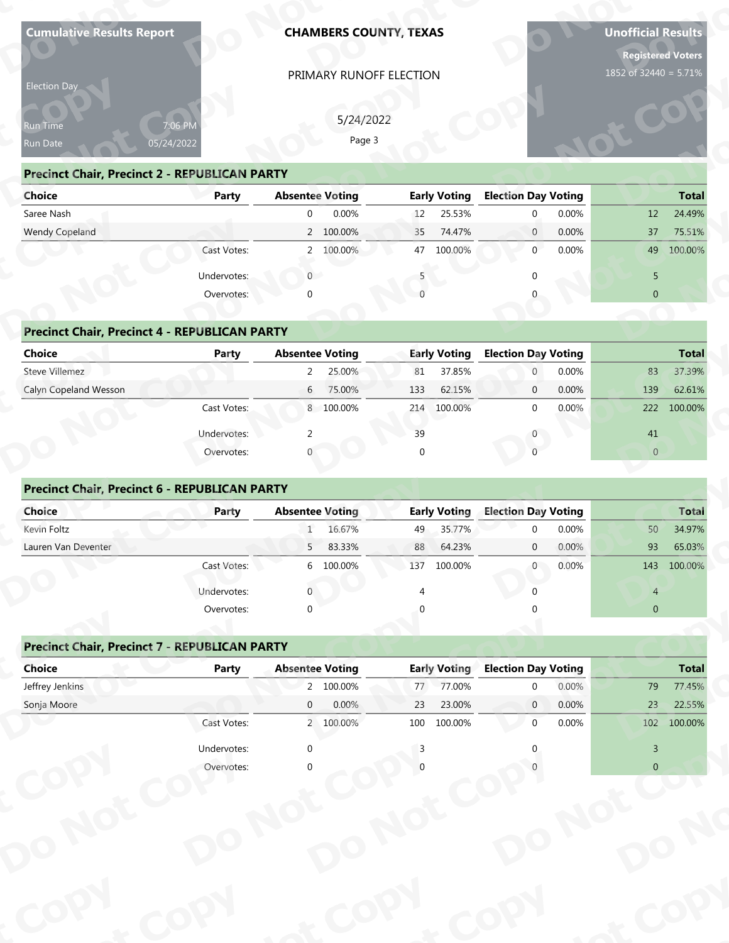|                                                         | <b>Cumulative Results Report</b> | <b>CHAMBERS COUNTY, TEXAS</b><br>PRIMARY RUNOFF ELECTION |                              |                                                  | <b>Unofficial Results</b><br><b>Registered Voters</b><br>1852 of 32440 = 5.71% |
|---------------------------------------------------------|----------------------------------|----------------------------------------------------------|------------------------------|--------------------------------------------------|--------------------------------------------------------------------------------|
| Election Day                                            |                                  |                                                          |                              |                                                  |                                                                                |
|                                                         |                                  |                                                          |                              |                                                  |                                                                                |
| Run Time                                                | 7:06 PM                          | 5/24/2022<br>Page 3                                      |                              |                                                  |                                                                                |
| Run Date                                                | 05/24/2022                       |                                                          |                              |                                                  |                                                                                |
| <b>Precinct Chair, Precinct 2 - REPUBLICAN PARTY</b>    |                                  |                                                          |                              |                                                  |                                                                                |
| <b>Choice</b>                                           | <b>Party</b>                     | <b>Absentee Voting</b>                                   | <b>Early Voting</b>          | <b>Election Day Voting</b>                       | <b>Total</b>                                                                   |
| Saree Nash<br><b>Wendy Copeland</b>                     |                                  | 0.00%<br>$\overline{0}$<br>2 100.00%                     | 25.53%<br>12<br>74.47%<br>35 | $\mathbf{0}$<br>0.00%<br>0.00%<br>$\overline{0}$ | 24.49%<br>12<br>75.51%<br>37                                                   |
|                                                         | Cast Votes:                      | 2 100.00%                                                | 47<br>100.00%                | $\mathbf{0}$<br>0.00%                            | 49<br>100.00%                                                                  |
|                                                         |                                  |                                                          |                              |                                                  |                                                                                |
|                                                         | Undervotes:                      | $\overline{0}$<br>∩                                      |                              | $\Omega$                                         | 5<br>$\overline{0}$                                                            |
|                                                         | Overvotes:                       |                                                          |                              |                                                  |                                                                                |
| <b>Precinct Chair, Precinct 4 - REPUBLICAN PARTY</b>    |                                  |                                                          |                              |                                                  |                                                                                |
| <b>Choice</b>                                           | <b>Party</b>                     | <b>Absentee Voting</b>                                   | <b>Early Voting</b>          | <b>Election Day Voting</b>                       | <b>Total</b>                                                                   |
| Steve Villemez                                          |                                  | $2^{\circ}$<br>25.00%                                    | 81<br>37.85%                 | 0.00%<br>$\mathbf{0}$                            | 37.39%<br>83                                                                   |
| Calyn Copeland Wesson                                   |                                  | 6 75.00%                                                 | 62.15%<br>133                | 0.00%<br>$\mathbf{0}$                            | 139<br>62.61%                                                                  |
|                                                         | Cast Votes:                      | 8 100.00%                                                | 214 100.00%                  | $\mathbf{0}$<br>0.00%                            | 222<br>100.00%                                                                 |
|                                                         | Undervotes:                      | 2                                                        | 39                           | $\mathbf 0$                                      | 41                                                                             |
|                                                         | Overvotes:                       |                                                          | $\Omega$                     | $\Omega$                                         | $\overline{0}$                                                                 |
|                                                         |                                  |                                                          |                              |                                                  |                                                                                |
| Precinct Chair, Precinct 6 - REPUBLICAN PARTY<br>Choice | Party                            | <b>Absentee Voting</b>                                   | <b>Early Voting</b>          | <b>Election Day Voting</b>                       | Total                                                                          |
| Kevin Foltz                                             |                                  | 16.67%<br>$\mathbf{1}$                                   | 35.77%<br>49                 | 0.00%<br>$\Omega$                                | 34.97%<br>50                                                                   |
| Lauren Van Deventer                                     |                                  | 83.33%<br>5 <sub>1</sub>                                 | 88<br>64.23%                 | 0.00%<br>$\mathbf 0$                             | 93<br>65.03%                                                                   |
|                                                         | Cast Votes:                      | 6 100.00%                                                | 137<br>100.00%               | 0.00%<br>$\overline{0}$                          | 143<br>100.00%                                                                 |
|                                                         | Undervotes:                      |                                                          |                              | $\cap$                                           | $\overline{4}$                                                                 |
|                                                         | Overvotes:                       | $\Omega$                                                 |                              |                                                  | $\overline{0}$                                                                 |
|                                                         |                                  |                                                          |                              |                                                  |                                                                                |
|                                                         |                                  |                                                          |                              |                                                  |                                                                                |
| <b>Precinct Chair, Precinct 7 - REPUBLICAN PARTY</b>    |                                  |                                                          |                              |                                                  |                                                                                |
| <b>Choice</b>                                           | <b>Party</b>                     | <b>Absentee Voting</b>                                   | <b>Early Voting</b>          | <b>Election Day Voting</b>                       | <b>Total</b>                                                                   |
| Jeffrey Jenkins                                         |                                  | 2 100.00%                                                | 77.00%<br>77                 | 0.00%<br>$\mathbf 0$                             | 79                                                                             |
| Sonja Moore                                             |                                  | 0.00%<br>$\overline{0}$                                  | 23.00%<br>23                 | 0.00%<br>$\overline{0}$                          | 77.45%<br>23<br>22.55%                                                         |
|                                                         | Cast Votes:                      | 2 100.00%                                                | 100<br>100.00%               | 0.00%<br>$\mathbf 0$                             | 102<br>100.00%                                                                 |
|                                                         | Undervotes:<br>Overvotes:        | $\mathbf{0}$                                             |                              |                                                  | $\overline{3}$<br>$\overline{0}$                                               |

| Election Day                                         |              |                        |                     |                            |                |
|------------------------------------------------------|--------------|------------------------|---------------------|----------------------------|----------------|
| Run Time                                             | 7:06 PM      | 5/24/2022              |                     |                            |                |
| Run Date                                             | 05/24/2022   | Page 3                 |                     |                            |                |
| <b>Precinct Chair, Precinct 2 - REPUBLICAN PARTY</b> |              |                        |                     |                            |                |
| Choice                                               | <b>Party</b> | <b>Absentee Voting</b> | <b>Early Voting</b> | <b>Election Day Voting</b> | <b>Total</b>   |
| Saree Nash                                           |              | 0.00%<br>$\mathbf 0$   | 25.53%<br>12        | 0.00%<br>$\mathbf 0$       | 24.49%<br>12   |
| Wendy Copeland                                       |              | 2 100.00%              | 74.47%<br>35        | 0.00%<br>$\mathbf{0}$      | 75.51%<br>37   |
|                                                      | Cast Votes:  | 2 100.00%              | 47<br>100.00%       | 0.00%<br>$\mathbf{0}$      | 49<br>100.00%  |
|                                                      | Undervotes:  | $\overline{0}$         | 5                   | $\Omega$                   | 5              |
|                                                      | Overvotes:   | $\Omega$               |                     | $\Omega$                   | $\mathbf{0}$   |
|                                                      |              |                        |                     |                            |                |
| <b>Precinct Chair, Precinct 4 - REPUBLICAN PARTY</b> |              |                        |                     |                            |                |
| Choice                                               | Party        | <b>Absentee Voting</b> | <b>Early Voting</b> | <b>Election Day Voting</b> | <b>Total</b>   |
| Steve Villemez                                       |              | 25.00%<br>$2^{\circ}$  | 37.85%<br>81        | 0.00%<br>$\mathbf{0}$      | 37.39%<br>83   |
| Calyn Copeland Wesson                                |              | 75.00%<br>6            | 133<br>62.15%       | 0.00%<br>$\mathbf{0}$      | 139<br>62.61%  |
|                                                      | Cast Votes:  | 8 100.00%              | 214 100.00%         | $\mathbf{0}$<br>0.00%      | 222<br>100.00% |
|                                                      | Undervotes:  | 2                      | 39                  | $\mathbf{0}$               | 41             |
|                                                      | Overvotes:   |                        | $\Omega$            | $\Omega$                   | $\overline{0}$ |
|                                                      |              |                        |                     |                            |                |
| <b>Precinct Chair, Precinct 6 - REPUBLICAN PARTY</b> |              |                        |                     |                            |                |
| Choice                                               | Party        | <b>Absentee Voting</b> | <b>Early Voting</b> | <b>Election Day Voting</b> | <b>Total</b>   |
| Kevin Foltz                                          |              | 16.67%<br>$\mathbf{1}$ | 35.77%<br>49        | 0.00%<br>$\mathbf{0}$      | 34.97%<br>50   |
| Lauren Van Deventer                                  |              | 83.33%<br>5            | 88<br>64.23%        | 0.00%<br>$\mathbf{0}$      | 93<br>65.03%   |
|                                                      | Cast Votes:  | 6 100.00%              | 137<br>100.00%      | $\overline{0}$<br>0.00%    | 143<br>100.00% |
|                                                      | Undervotes:  | $\mathbf 0$            | 4                   | <sup>0</sup>               | $\overline{4}$ |
|                                                      | Overvotes:   | $\Omega$               |                     |                            | $\mathbf{0}$   |
|                                                      |              |                        |                     |                            |                |
| <b>Precinct Chair, Precinct 7 - REPUBLICAN PARTY</b> |              |                        |                     |                            |                |
| <b>Choice</b>                                        | <b>Party</b> | <b>Absentee Voting</b> | <b>Early Voting</b> | <b>Election Day Voting</b> | <b>Total</b>   |
| Jeffrey Jenkins                                      |              | 2 100.00%              | 77.00%<br>77        | 0.00%<br>0                 | 77.45%<br>79   |
| Conis Macce                                          |              | 0.000<br>$\cap$        | วว<br><b>OOO CC</b> | 0.000<br>$\Omega$          | າລ<br>22E00    |

# **Drecinct Chair, Precinct 4 - REPUBLI**

| Saree Nash                                           |              | 0.00%<br>$\mathbf{0}$  | 25.53%<br>12        | 0.00%<br>$\mathbf 0$       | 24.49%<br>12   |
|------------------------------------------------------|--------------|------------------------|---------------------|----------------------------|----------------|
| Wendy Copeland                                       |              | 2 100.00%              | 74.47%<br>35        | 0.00%<br>$\overline{0}$    | 37<br>75.51%   |
|                                                      | Cast Votes:  | 100.00%<br>2           | 47<br>100.00%       | $\mathbf 0$<br>0.00%       | 49 100.00%     |
|                                                      | Undervotes:  | $\overline{0}$         |                     | $\mathbf{0}$               | 5              |
|                                                      | Overvotes:   | $\mathbf 0$            |                     | $\Omega$                   | $\overline{0}$ |
|                                                      |              |                        |                     |                            |                |
| <b>Precinct Chair, Precinct 4 - REPUBLICAN PARTY</b> |              |                        |                     |                            |                |
| <b>Choice</b>                                        | <b>Party</b> | <b>Absentee Voting</b> | <b>Early Voting</b> | <b>Election Day Voting</b> | <b>Total</b>   |
| Steve Villemez                                       |              | 2<br>25.00%            | 37.85%<br>81        | 0.00%<br>$\mathbf{0}$      | 83<br>37.39%   |
| Calyn Copeland Wesson                                |              | 75.00%<br>6            | 62.15%<br>133       | 0.00%<br>$\overline{0}$    | 139<br>62.61%  |
|                                                      | Cast Votes:  | 8 100.00%              | 214<br>100.00%      | 0.00%<br>0                 | 100.00%<br>222 |
|                                                      | Undervotes:  | $\overline{2}$         | 39                  | 0                          | 41             |
|                                                      | Overvotes:   | 0                      | $\mathbf 0$         | $\mathbf{0}$               | $\overline{0}$ |
|                                                      |              |                        |                     |                            |                |
| <b>Precinct Chair, Precinct 6 - REPUBLICAN PARTY</b> |              |                        |                     |                            |                |
| Choice                                               | Party        | <b>Absentee Voting</b> | <b>Early Voting</b> | <b>Election Day Voting</b> | <b>Total</b>   |
| Kevin Foltz                                          |              | 16.67%                 | 35.77%<br>49        | 0.00%<br>$\mathbf 0$       | 50<br>34.97%   |
| Lauren Van Deventer                                  |              | 83.33%<br>5            | 88<br>64.23%        | 0.00%<br>$\mathbf{0}$      | 93<br>65.03%   |
|                                                      | Cast Votes:  | 6 100.00%              | 137<br>100.00%      | 0.00%<br>$\mathbf 0$       | 143<br>100.00% |
|                                                      |              |                        |                     |                            |                |

| Choice                                               | Party        | <b>Absentee Voting</b> |                                  |             | Early Voting        | <b>Election Day Voting</b> |       |                | Total        |
|------------------------------------------------------|--------------|------------------------|----------------------------------|-------------|---------------------|----------------------------|-------|----------------|--------------|
| Steve Villemez                                       |              | $2^{\circ}$            | 25.00%                           | 81          | 37.85%              | $\mathbf{0}$               | 0.00% | 83             | 37.39%       |
| Calyn Copeland Wesson                                |              | 6                      | 75.00%                           | 133         | 62.15%              | 0                          | 0.00% | 139            | 62.61%       |
|                                                      | Cast Votes:  |                        | 8 100.00%                        | 214         | 100.00%             | 0                          | 0.00% | 222            | 100.00%      |
|                                                      | Undervotes:  | $\mathcal{P}$          |                                  | 39          |                     | 0                          |       | 41             |              |
|                                                      | Overvotes:   |                        |                                  | $\mathbf 0$ |                     | $\Omega$                   |       | $\overline{0}$ |              |
|                                                      |              |                        |                                  |             |                     |                            |       |                |              |
| <b>Precinct Chair, Precinct 6 - REPUBLICAN PARTY</b> |              |                        |                                  |             |                     |                            |       |                |              |
| Choice                                               | Party        | <b>Absentee Voting</b> |                                  |             | <b>Early Voting</b> | <b>Election Day Voting</b> |       |                | <b>Total</b> |
| Kevin Foltz                                          |              |                        | 16.67%                           | 49          | 35.77%              | $\Omega$                   | 0.00% | 50             | 34.97%       |
| Lauren Van Deventer                                  |              | 5 <sup>7</sup>         | 83.33%                           | 88          | 64.23%              | $\mathbf{0}$               | 0.00% | 93             | 65.03%       |
|                                                      | Cast Votes:  |                        | 6 100.00%                        | 137         | 100.00%             | 0                          | 0.00% | 143            | 100.00%      |
|                                                      | Undervotes:  |                        |                                  |             |                     | $\Omega$                   |       | $\overline{4}$ |              |
|                                                      | Overvotes:   | $\Omega$               |                                  | $\Omega$    |                     |                            |       | $\mathbf{0}$   |              |
|                                                      |              |                        |                                  |             |                     |                            |       |                |              |
| <b>Precinct Chair, Precinct 7 - REPUBLICAN PARTY</b> |              |                        |                                  |             |                     |                            |       |                |              |
| <b>Choice</b>                                        | <b>Party</b> | <b>Absentee Voting</b> |                                  |             | <b>Early Voting</b> | <b>Election Day Voting</b> |       |                | <b>Total</b> |
| Jeffrey Jenkins                                      |              |                        | 2 100.00%                        | 77          | 77.00%              | $\mathbf 0$                | 0.00% | 79             | 77.45%       |
| Conia Moore                                          |              | $\cap$                 | $\Omega$ $\Omega$ <sup>o</sup> / | າາ          | 22 UUOS             | $\cap$                     | 0.009 | つつ             | 22E02        |

## **Precinct Chair, Precinct 7 - REPUBLICAN PARTY<br>Choice Party Party Ab<br>Jeffrev Jenkins Choice Precinct Chair, Precinct 7 - REPUBLICAN PARTY**<br> **Choice** Party Absentee Voting **Election Day Voting** Jeffrey Jenkins 2 100.00% 77 77.00% 0 0.00% 79 77.45% Sonja Moore 0 0.00% 23 23.00% 0 0.00% 23 22.55% Cast Votes: 2 100.00% 100 100.00% 0 0.00% 102 100.00% Undervotes: 0 3 0 3 Overvotes: 0 0 0 0 **ot**  $\overline{\text{O}}$  **p**  $\overline{\text{O}}$ **y**<br>byervotes **D otP**<br> **p**<br> **p**<br> **o**<br> **p**  $\begin{bmatrix} 3 \\ 0 \end{bmatrix}$ **py o**<br>**or** Votes **the vertex vertex of the vertex vertex vertex vertex vertex vertex vertex vertex vertex vertex vertex vertex vertex vertex vertex vertex vertex vertex vertex vertex vertex vertex vertex vertex vertex vertex vertex vertex y Cast** Absentee **ot <sup>o</sup> PARTY**<br> **Absentee Voting**<br> **EXECUTE:**<br> **Absentee Voting**<br> **EXECUTE:**<br> **PARTY**<br> **BARTY**<br> **BARTY**<br> **BARTY**<br> **BARTY**<br> **BARTY**<br> **BARTY**<br> **BARTY**<br> **BARTY**<br> **BARTY**<br> **BARTY**<br> **BARTY**<br> **BARTY**<br> **BARTY**<br> **BARTY**<br> **BARTY**<br> **BARTY o y P py Precinct Chair, Precinct 6 - REPUBLICAN<br>
Choice**<br>
Revin Foltz<br>
Lauren Van Deventer<br>
Cast Votes<br>
Undervotes<br>
Overvotes<br> **Precinct Chair, Precinct 7 - REPUBLICAN<br>
Choice**<br>
Party<br>
Jeffrey Jenkins<br>
Sonja Moore<br>
Cast Votes<br>
Un **Precinct Chair, Precinct 2 - REPUBLICAN**<br>
Saree Nash<br>
Wendy Copeland<br>
Wendy Copeland<br>
Cast Votes<br>
Undervotes<br>
Overvotes<br>
Precinct Chair, Precinct 4 - REPUBLICAN<br>
Colvey Villemez<br>
Calyn Copeland Wesson<br>
Cast Votes<br>
Undervo **call**<br> **ch**<br> **ch**<br> **ch**<br> **ch**<br> **ch**<br> **ch**<br> **ch**<br> **ch**<br> **ch**<br> **ch**<br> **ch**<br> **ch Choice**<br>
Steve Villemez<br>
Calyn Copeland Wesson<br> **Precinct Chair, Precinc<br>
Choice<br>
Alexander Van Deventer<br>
Precinct Chair, Precinc<br>
Choice<br>
Effrey Jenkins<br>
Sonja Moore<br>
Alexander Van Deventer<br>
Sonja Moore Precinct Chair, Precinct 7 - REPUBLICAN**<br> **Choice**<br> *Jeffrey Jenkins* Sonja Moore Jeffrey Jenkins **Early Voting**<br>77 77.00%<br>23 23.00% Party<br>
Party<br>
Party<br>
Didervotes<br>
Undervotes<br>
Undervotes<br>
Overvotes<br>
Overvotes<br>
Party<br>
Overvotes<br>
Overvotes<br>
Overvotes<br>
Overvotes<br>
Overvotes<br>
Overvotes<br>
Overvotes<br>
Overvotes<br>
Overvotes<br>
Overvotes<br>
Overvotes<br>
Overvotes<br>
Over **Example 18 Absentee Voting 49 Absentee Voting 49 Absentee Voting 49 Absentee 10000% 4 as a model of the discovery of the discovery control of the discovery control of the discovery control of the discovery control of the Co yot pypy**  $\epsilon^{\text{cop}}$ **yot ot opy Do** $\frac{0\%}{0\%}$ **For Total**<br>
0.00%<br>
0.00%<br>
93 65.03%<br>
93 65.03%<br>
143 100.00%<br>
4<br>
0.00%<br> **Poting<br>
79 77.45%<br>
0.00%<br>
23 22.55%<br>
102 100.00%<br>
3<br>
0.00%<br>
23 22.55%<br>
102 100.00%<br>
3<br>
0.00% oy Voting Election Day Voting Total**<br>
7 77.00% 0 0.00% 79 77.45%<br>
0 0.00% 23 22.55%<br>
0 0.00% 0 0.00% 23 22.55%<br>
0 0.00% 0 3<br>
0 3 0 0 0 **pection Day Voting**<br> **p** 0 0.00%<br> **p** 0 0.00%<br> **p** 0 0.00%<br> **p** 0 0.00%<br> **p** 0 0.00%<br> **p** 0 0.00%<br> **p** 0 0.00%<br> **p** 0 0.00%<br> **p** 0 0.00%<br> **p** 0 0.00%<br> **p** 0 0.00%<br> **p** 0 0.00%<br> **p** 0 0.00%<br> **p** 0 0.00%<br> **p** 0 0.00%<br> **p** 0 **Cot op Total**<br>
79 77.45%<br>
23 22.55%<br>
102 100.00% **py Dection Day Voting<br>
0 0.00%<br>
0 0.00%<br>
0 0.00%<br>
102 100.00%**